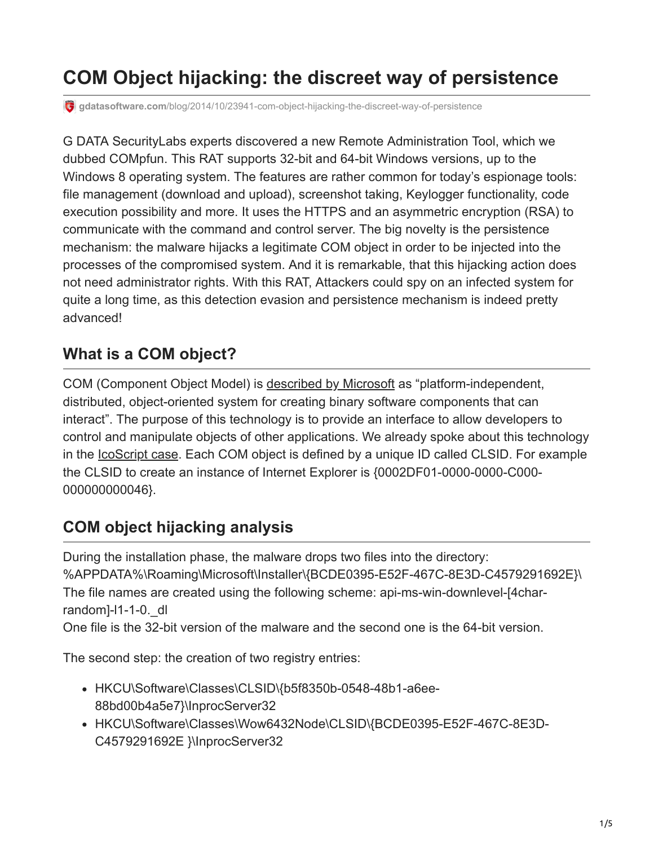# **COM Object hijacking: the discreet way of persistence**

**gdatasoftware.com**[/blog/2014/10/23941-com-object-hijacking-the-discreet-way-of-persistence](https://www.gdatasoftware.com/blog/2014/10/23941-com-object-hijacking-the-discreet-way-of-persistence)

G DATA SecurityLabs experts discovered a new Remote Administration Tool, which we dubbed COMpfun. This RAT supports 32-bit and 64-bit Windows versions, up to the Windows 8 operating system. The features are rather common for today's espionage tools: file management (download and upload), screenshot taking, Keylogger functionality, code execution possibility and more. It uses the HTTPS and an asymmetric encryption (RSA) to communicate with the command and control server. The big novelty is the persistence mechanism: the malware hijacks a legitimate COM object in order to be injected into the processes of the compromised system. And it is remarkable, that this hijacking action does not need administrator rights. With this RAT, Attackers could spy on an infected system for quite a long time, as this detection evasion and persistence mechanism is indeed pretty advanced!

### **What is a COM object?**

COM (Component Object Model) is [described by Microsoft](http://msdn.microsoft.com/en-us/library/windows/desktop/ms694363%28v=vs.85%29.aspx) as "platform-independent, distributed, object-oriented system for creating binary software components that can interact". The purpose of this technology is to provide an interface to allow developers to control and manipulate objects of other applications. We already spoke about this technology in the [IcoScript case](https://www.virusbtn.com/virusbulletin/archive/2014/08/vb201408-IcoScript). Each COM object is defined by a unique ID called CLSID. For example the CLSID to create an instance of Internet Explorer is {0002DF01-0000-0000-C000- 000000000046}.

## **COM object hijacking analysis**

During the installation phase, the malware drops two files into the directory: %APPDATA%\Roaming\Microsoft\Installer\{BCDE0395-E52F-467C-8E3D-C4579291692E}\ The file names are created using the following scheme: api-ms-win-downlevel-[4charrandom]-l1-1-0.\_dl

One file is the 32-bit version of the malware and the second one is the 64-bit version.

The second step: the creation of two registry entries:

- HKCU\Software\Classes\CLSID\{b5f8350b-0548-48b1-a6ee-88bd00b4a5e7}\InprocServer32
- HKCU\Software\Classes\Wow6432Node\CLSID\{BCDE0395-E52F-467C-8E3D-C4579291692E }\InprocServer32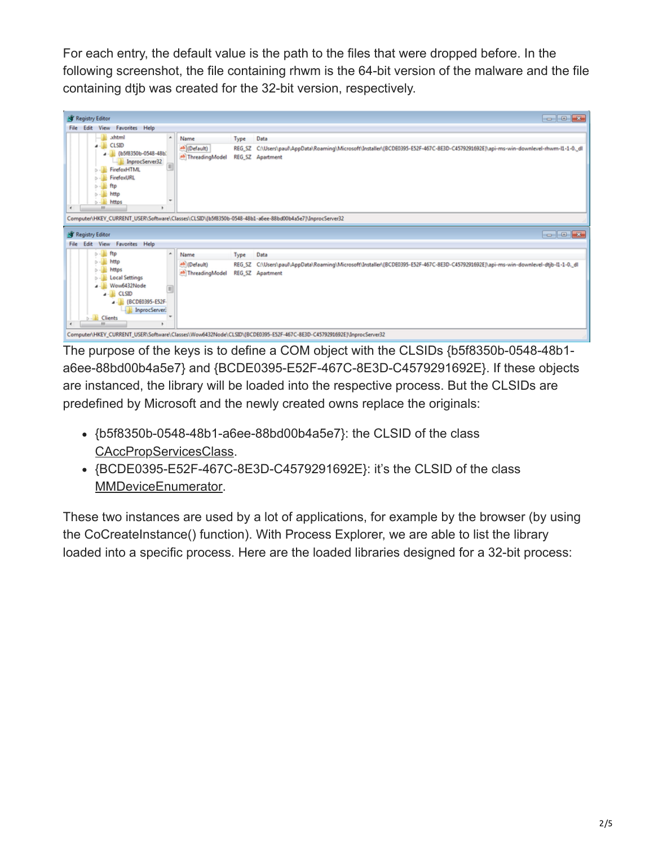For each entry, the default value is the path to the files that were dropped before. In the following screenshot, the file containing rhwm is the 64-bit version of the malware and the file containing dtjb was created for the 32-bit version, respectively.

| <b>Registry Editor</b>                                                                                                                                                                                                 |                                   |                |                                                                                                                                                   |
|------------------------------------------------------------------------------------------------------------------------------------------------------------------------------------------------------------------------|-----------------------------------|----------------|---------------------------------------------------------------------------------------------------------------------------------------------------|
| View Favorites Help<br>File<br>Edit                                                                                                                                                                                    |                                   |                |                                                                                                                                                   |
| ahtml<br>×<br><b>CLSID</b><br>$-100$                                                                                                                                                                                   | Name<br>ab (Default)              | Type<br>REG SZ | Data<br>C:\Users\paul\AppData\Roaming\Microsoft\Installer\(BCDE0395-E52F-467C-8E3D-C4579291692E)\api-ms-win-downlevel-rhwm-II-1-0_dl              |
| - (b5f8350b-0548-48b)<br>InprocServer32<br>⊟<br>FirefoxHTML<br>$-14$<br>FirefoxURL<br>$D - 11$<br>ftp<br>$> -10$<br>http<br>$> -14$<br>٠<br>https<br>m<br>$\epsilon$                                                   | ab ThreadingModel                 |                | <b>REG SZ</b> Apartment                                                                                                                           |
|                                                                                                                                                                                                                        |                                   |                |                                                                                                                                                   |
| Computer\HKEY_CURRENT_USER\Software\Classes\CLSID\{b5f8350b-0548-48b1-a6ee-88bd00b4a5e7}\InprocServer32                                                                                                                |                                   |                |                                                                                                                                                   |
| Registry Editor                                                                                                                                                                                                        |                                   |                |                                                                                                                                                   |
| View<br><b>Favorites Help</b><br>Edit<br><b>File</b><br>٠                                                                                                                                                              |                                   |                |                                                                                                                                                   |
| ftp<br>$-10$                                                                                                                                                                                                           | Name                              | Type           | Data                                                                                                                                              |
| http<br>$-14$<br>https<br>$> -10$<br><b>Local Settings</b><br>$-11$<br>Wow6432Node<br>e<br>$-$ CLSID<br>(BCDE0395-E52F-<br>$-11$<br>InprocServer:<br>$\rightarrow$<br><b>Clients</b><br>$6 - 10$<br>111.<br>$\epsilon$ | ab (Default)<br>ab ThreadingModel | REG SZ         | C:\Users\paul\AppData\Roaming\Microsoft\Installer\{BCDE0395-E52F-467C-8E3D-C4579291692E]\api-ms-win-downlevel-dtjb-II-1-0. dl<br>REG_SZ Apartment |

The purpose of the keys is to define a COM object with the CLSIDs {b5f8350b-0548-48b1 a6ee-88bd00b4a5e7} and {BCDE0395-E52F-467C-8E3D-C4579291692E}. If these objects are instanced, the library will be loaded into the respective process. But the CLSIDs are predefined by Microsoft and the newly created owns replace the originals:

- {b5f8350b-0548-48b1-a6ee-88bd00b4a5e7}: the CLSID of the class [CAccPropServicesClass](http://msdn.microsoft.com/en-us/library/accessibility.caccpropservicesclass%28v=vs.110%29.aspx?cs-save-lang=1&cs-lang=cpp#code-snippet-1).
- {BCDE0395-E52F-467C-8E3D-C4579291692E}: it's the CLSID of the class [MMDeviceEnumerator](http://msdn.microsoft.com/en-us/library/windows/desktop/dd316556%28v=vs.85%29.aspx).

These two instances are used by a lot of applications, for example by the browser (by using the CoCreateInstance() function). With Process Explorer, we are able to list the library loaded into a specific process. Here are the loaded libraries designed for a 32-bit process: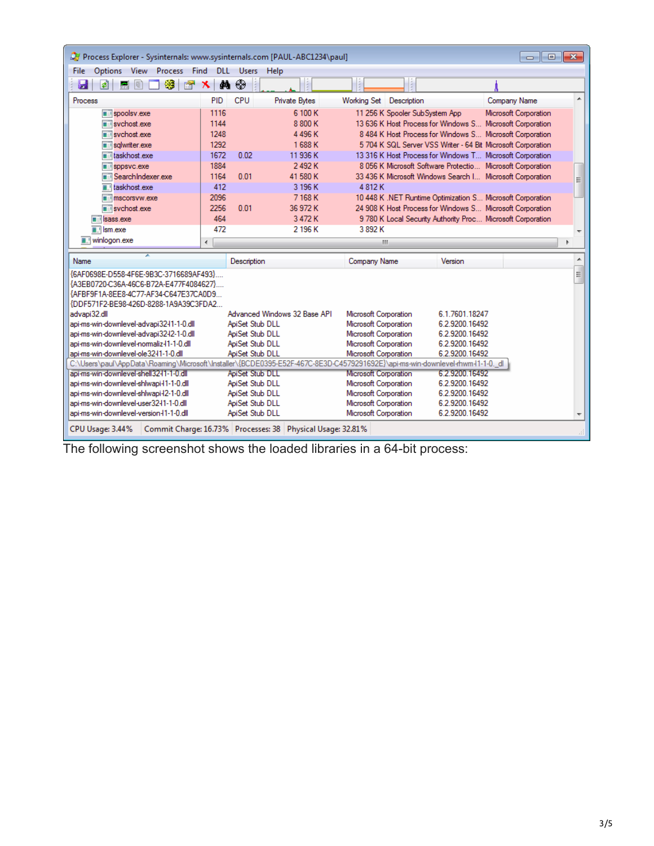| Process Explorer - Sysinternals: www.sysinternals.com [PAUL-ABC1234\paul]<br>$  \rightarrow$ $x$                                 |        |                        |                       |                              |                                |                                                              |                          |  |
|----------------------------------------------------------------------------------------------------------------------------------|--------|------------------------|-----------------------|------------------------------|--------------------------------|--------------------------------------------------------------|--------------------------|--|
| Find<br>Options View<br>Process<br><b>DLL</b><br><b>Users</b><br>Help<br>File                                                    |        |                        |                       |                              |                                |                                                              |                          |  |
| Ы<br>穆<br>اٹھ<br>矄<br>Ę<br>m                                                                                                     | M<br>х | ⊕                      |                       |                              |                                |                                                              |                          |  |
| <b>Process</b>                                                                                                                   | PID    | CPU                    | <b>Private Bytes</b>  | Working Set Description      |                                | Company Name                                                 | ᇫ                        |  |
| spoolsv.exe                                                                                                                      | 1116   |                        | 6 100 K               |                              | 11 256 K Spooler SubSystem App | Microsoft Corporation                                        |                          |  |
| svchost.exe                                                                                                                      | 1144   |                        | 8800K                 |                              |                                | 13 636 K Host Process for Windows S Microsoft Corporation    |                          |  |
| $\overline{\mathbf{r}}$ sychost exe                                                                                              | 1248   |                        | 4 496 K               |                              |                                | 8 484 K Host Process for Windows S Microsoft Corporation     |                          |  |
| salwriter.exe                                                                                                                    | 1292   |                        | 1688K                 |                              |                                | 5 704 K SQL Server VSS Writer - 64 Bit Microsoft Corporation |                          |  |
| in taskhost.exe                                                                                                                  | 1672   | 0.02                   | 11 936 K              |                              |                                | 13 316 K Host Process for Windows T Microsoft Corporation    |                          |  |
| sppsyc.exe                                                                                                                       | 1884   |                        | 2492K                 |                              |                                | 8 056 K Microsoft Software Protectio Microsoft Corporation   |                          |  |
| SearchIndexer.exe                                                                                                                | 1164   | 0.01                   | 41 580 K              |                              |                                | 33 436 K Microsoft Windows Search I Microsoft Corporation    | 릐                        |  |
| $\blacksquare$ taskhost exe                                                                                                      | 412    |                        | 3 196 K               | 4812K                        |                                |                                                              |                          |  |
| $\blacksquare$ mscorsvw.exe                                                                                                      | 2096   |                        | 7168K                 |                              |                                | 10 448 K .NET Runtime Optimization S Microsoft Corporation   |                          |  |
| svchost.exe                                                                                                                      | 2256   | 0.01                   | 36 972 K              |                              |                                | 24 908 K Host Process for Windows S Microsoft Corporation    |                          |  |
| $\overline{\mathbf{r}}$ sass exe                                                                                                 | 464    |                        | 3472K                 |                              |                                | 9 780 K Local Security Authority Proc Microsoft Corporation  |                          |  |
| $\blacksquare$ Ism.exe                                                                                                           | 472    |                        | 2 196 K               | 3 892 K                      |                                |                                                              | $\overline{\phantom{a}}$ |  |
| winlogon.exe                                                                                                                     | €.     |                        |                       | m.                           |                                |                                                              |                          |  |
| Name<br>Description<br>Version                                                                                                   |        |                        |                       |                              |                                |                                                              |                          |  |
|                                                                                                                                  |        |                        |                       | Company Name                 |                                |                                                              | ▲<br>9                   |  |
| {6AF0698E-D558-4F6E-9B3C-3716689AF493}                                                                                           |        |                        |                       |                              |                                |                                                              |                          |  |
| {A3EB0720-C36A-46C6-B72A-E477F4084627}                                                                                           |        |                        |                       |                              |                                |                                                              |                          |  |
| {AFBF9F1A-8EE8-4C77-AF34-C647E37CA0D9                                                                                            |        |                        |                       |                              |                                |                                                              |                          |  |
| {DDF571F2-BE98-426D-8288-1A9A39C3FDA2<br>advapi32.dll<br>Advanced Windows 32 Base API<br>Microsoft Corporation<br>6.1.7601.18247 |        |                        |                       |                              |                                |                                                              |                          |  |
| api-ms-win-downlevel-advapi3241-1-0.dll                                                                                          |        | ApiSet Stub DLL        |                       | <b>Microsoft Corporation</b> | 6.2.9200.16492                 |                                                              |                          |  |
| api-ms-win-downlevel-advapi3242-1-0.dll<br>ApiSet Stub DLL                                                                       |        |                        | Microsoft Corporation | 6.2.9200.16492               |                                |                                                              |                          |  |
| api-ms-win-downlevel-normaliz-11-1-0.dll<br>ApiSet Stub DLL                                                                      |        |                        |                       | Microsoft Corporation        | 6.2.9200.16492                 |                                                              |                          |  |
| api-ms-win-downlevel-ole32-11-1-0.dll<br>ApiSet Stub DLL                                                                         |        |                        |                       | Microsoft Corporation        | 6.2.9200.16492                 |                                                              |                          |  |
| C:\Users\paul\AppData\Roaming\Microsoft\Installer\{BCDE0395-E52F-467C-8E3D-C4579291692E}\api-ms-win-downlevel-rhwm-l1-1-0. dl    |        |                        |                       |                              |                                |                                                              |                          |  |
|                                                                                                                                  |        |                        |                       |                              |                                |                                                              |                          |  |
| api-ms-win-downlevel-shell32-11-1-0.dll                                                                                          |        | <b>ApiSet Stub DLL</b> |                       | Microsoft Corporation        | 6.2.9200.16492                 |                                                              |                          |  |
| api-ms-win-downlevel-shlwapi-11-1-0.dll                                                                                          |        | ApiSet Stub DLL        |                       | Microsoft Corporation        | 6.2.9200.16492                 |                                                              |                          |  |
| api-ms-win-downlevel-shlwapi-12-1-0.dll                                                                                          |        | ApiSet Stub DLL        |                       | Microsoft Corporation        | 6.2.9200.16492                 |                                                              |                          |  |
| api-ms-win-downlevel-user3241-1-0.dll                                                                                            |        | ApiSet Stub DLL        |                       | Microsoft Corporation        | 6.2.9200.16492                 |                                                              |                          |  |
| api-ms-win-downlevel-version-11-1-0.dll                                                                                          |        | ApiSet Stub DLL        |                       | Microsoft Corporation        | 6.2.9200.16492                 |                                                              |                          |  |

The following screenshot shows the loaded libraries in a 64-bit process: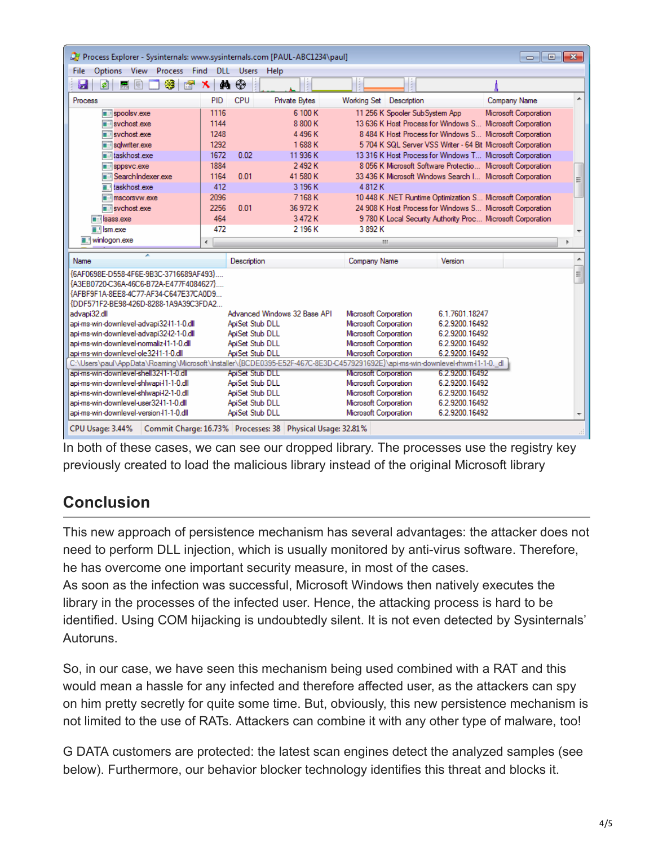| Process Explorer - Sysinternals: www.sysinternals.com [PAUL-ABC1234\paul]<br>$\Box$ $\Box$ $\mathbf{x}$                       |                 |                 |                      |                                                |                                  |                                                              |                |  |
|-------------------------------------------------------------------------------------------------------------------------------|-----------------|-----------------|----------------------|------------------------------------------------|----------------------------------|--------------------------------------------------------------|----------------|--|
| Options<br><b>View</b><br>Find<br><b>DLL</b><br><b>Users</b><br>File<br><b>Process</b><br>Help                                |                 |                 |                      |                                                |                                  |                                                              |                |  |
| Ы<br>穆<br>۵Ì<br>團<br>Ę<br>會                                                                                                   | M<br>х          | ⊕               |                      |                                                |                                  |                                                              |                |  |
| Process                                                                                                                       | PID             | <b>CPU</b>      | <b>Private Bytes</b> | Working Set Description                        |                                  | Company Name                                                 | A              |  |
| spoolsv.exe                                                                                                                   | 1116            |                 | 6 100 K              | 11 256 K Spooler SubSystem App                 |                                  | Microsoft Corporation                                        |                |  |
| svchost.exe                                                                                                                   | 1144            |                 | 8 800 K              |                                                |                                  | 13 636 K Host Process for Windows S Microsoft Corporation    |                |  |
| svchost.exe                                                                                                                   | 1248            |                 | 4496K                |                                                |                                  | 8 484 K Host Process for Windows S Microsoft Corporation     |                |  |
| sqlwriter.exe                                                                                                                 | 1292            |                 | 1688K                |                                                |                                  | 5 704 K SQL Server VSS Writer - 64 Bit Microsoft Corporation |                |  |
| laskhost.exe                                                                                                                  | 1672            | 0.02            | 11 936 K             |                                                |                                  | 13 316 K Host Process for Windows T Microsoft Corporation    |                |  |
| sposyc.exe                                                                                                                    | 1884            |                 | 2492K                |                                                |                                  | 8 056 K Microsoft Software Protectio Microsoft Corporation   |                |  |
| SearchIndexer.exe                                                                                                             | 1164            | 0.01            | 41 580 K             |                                                |                                  | 33 436 K Microsoft Windows Search I Microsoft Corporation    | 티              |  |
| laskhost.exe                                                                                                                  | 412             |                 | 3 196 K              | 4812K                                          |                                  |                                                              |                |  |
| <b>EL mscorsvw.exe</b>                                                                                                        | 2096            |                 | 7168K                |                                                |                                  | 10 448 K .NET Runtime Optimization S Microsoft Corporation   |                |  |
| svchost.exe                                                                                                                   | 2256            | 0.01            | 36 972 K             |                                                |                                  | 24 908 K Host Process for Windows S Microsoft Corporation    |                |  |
| sass.exe                                                                                                                      | 464             |                 | 3472K                |                                                |                                  | 9 780 K Local Security Authority Proc Microsoft Corporation  |                |  |
| $\blacksquare$ Ism.exe                                                                                                        | 472             |                 | 2 196 K              | 3 8 9 2 K                                      |                                  |                                                              |                |  |
| winlogon.exe                                                                                                                  | $\left($        |                 |                      | m.                                             |                                  |                                                              |                |  |
|                                                                                                                               |                 |                 |                      |                                                |                                  |                                                              |                |  |
| Name                                                                                                                          |                 | Description     |                      | Company Name                                   | Version                          |                                                              | ▲              |  |
| {6AF0698E-D558-4F6E-9B3C-3716689AF493}                                                                                        |                 |                 |                      |                                                |                                  |                                                              | $\overline{a}$ |  |
| {A3EB0720-C36A-46C6-B72A-E477F4084627}                                                                                        |                 |                 |                      |                                                |                                  |                                                              |                |  |
| {AFBF9F1A-8EE8-4C77-AF34-C647E37CA0D9                                                                                         |                 |                 |                      |                                                |                                  |                                                              |                |  |
| {DDF571F2-BE98-426D-8288-1A9A39C3FDA2                                                                                         |                 |                 |                      |                                                |                                  |                                                              |                |  |
| Advanced Windows 32 Base API<br>advapi32.dll                                                                                  |                 |                 |                      | Microsoft Corporation<br>Microsoft Corporation | 6.1.7601.18247<br>6.2.9200.16492 |                                                              |                |  |
| api-ms-win-downlevel-advapi3241-1-0.dll<br>ApiSet Stub DLL<br>api-ms-win-downlevel-advapi32-12-1-0.dll                        |                 |                 |                      | Microsoft Corporation                          | 6.2.9200.16492                   |                                                              |                |  |
| ApiSet Stub DLL<br>api-ms-win-downlevel-normaliz-11-1-0.dll<br>ApiSet Stub DLL                                                |                 |                 |                      | Microsoft Corporation                          | 6.2.9200.16492                   |                                                              |                |  |
| api-ms-win-downlevel-ole32-11-1-0.dll<br>ApiSet Stub DLL                                                                      |                 |                 |                      | Microsoft Corporation                          | 6.2.9200.16492                   |                                                              |                |  |
| C:\Users\paul\AppData\Roaming\Microsoft\Installer\{BCDE0395-E52F-467C-8E3D-C4579291692E}\api-ms-win-downlevel-rhwm-l1-1-0._dl |                 |                 |                      |                                                |                                  |                                                              |                |  |
| <b>ApiSet Stub DLL</b><br>api-ms-win-downlevel-shell32-11-1-0.dll<br><b>Microsoft Corporation</b><br>6.2.9200.16492           |                 |                 |                      |                                                |                                  |                                                              |                |  |
| api-ms-win-downlevel-shlwapi-11-1-0.dll                                                                                       |                 | ApiSet Stub DLL |                      | <b>Microsoft Corporation</b>                   | 6.2.9200.16492                   |                                                              |                |  |
| api-ms-win-downlevel-shlwapi-12-1-0.dll                                                                                       | ApiSet Stub DLL |                 |                      |                                                | 6.2.9200.16492                   |                                                              |                |  |
| api-ms-win-downlevel-user32-11-1-0.dll<br>ApiSet Stub DLL                                                                     |                 |                 |                      | Microsoft Corporation                          | 6.2.9200.16492                   |                                                              |                |  |
| api-ms-win-downlevel-version-11-1-0.dll<br>ApiSet Stub DLL<br>Microsoft Corporation<br>6.2.9200.16492                         |                 |                 |                      |                                                |                                  |                                                              |                |  |
| Commit Charge: 16.73%   Processes: 38   Physical Usage: 32.81%<br>CPU Usage: 3.44%                                            |                 |                 |                      |                                                |                                  |                                                              |                |  |

In both of these cases, we can see our dropped library. The processes use the registry key previously created to load the malicious library instead of the original Microsoft library

# **Conclusion**

This new approach of persistence mechanism has several advantages: the attacker does not need to perform DLL injection, which is usually monitored by anti-virus software. Therefore, he has overcome one important security measure, in most of the cases.

As soon as the infection was successful, Microsoft Windows then natively executes the library in the processes of the infected user. Hence, the attacking process is hard to be identified. Using COM hijacking is undoubtedly silent. It is not even detected by Sysinternals' Autoruns.

So, in our case, we have seen this mechanism being used combined with a RAT and this would mean a hassle for any infected and therefore affected user, as the attackers can spy on him pretty secretly for quite some time. But, obviously, this new persistence mechanism is not limited to the use of RATs. Attackers can combine it with any other type of malware, too!

G DATA customers are protected: the latest scan engines detect the analyzed samples (see below). Furthermore, our behavior blocker technology identifies this threat and blocks it.